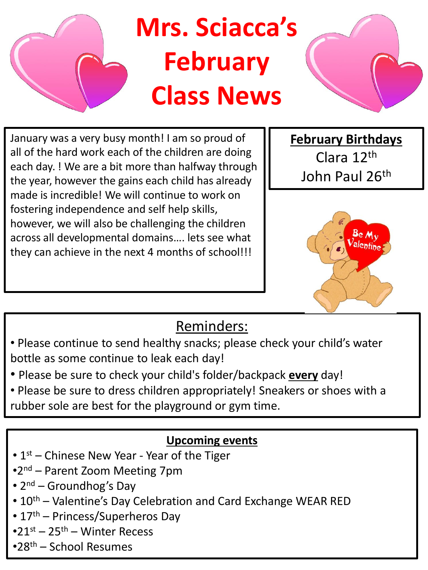

January was a very busy month! I am so proud of all of the hard work each of the children are doing each day. ! We are a bit more than halfway through the year, however the gains each child has already made is incredible! We will continue to work on fostering independence and self help skills, however, we will also be challenging the children across all developmental domains…. lets see what they can achieve in the next 4 months of school!!!

**February Birthdays** Clara 12th John Paul 26<sup>th</sup>



## Reminders:

- Please continue to send healthy snacks; please check your child's water bottle as some continue to leak each day!
- Please be sure to check your child's folder/backpack **every** day!
- Please be sure to dress children appropriately! Sneakers or shoes with a rubber sole are best for the playground or gym time.

## **Upcoming events**

- 1st Chinese New Year Year of the Tiger
- •2<sup>nd</sup> Parent Zoom Meeting 7pm
- 2<sup>nd</sup> Groundhog's Day
- 10<sup>th</sup> Valentine's Day Celebration and Card Exchange WEAR RED
- 17<sup>th</sup> Princess/Superheros Day
- $•21$ <sup>st</sup> 25<sup>th</sup> Winter Recess
- •28th School Resumes